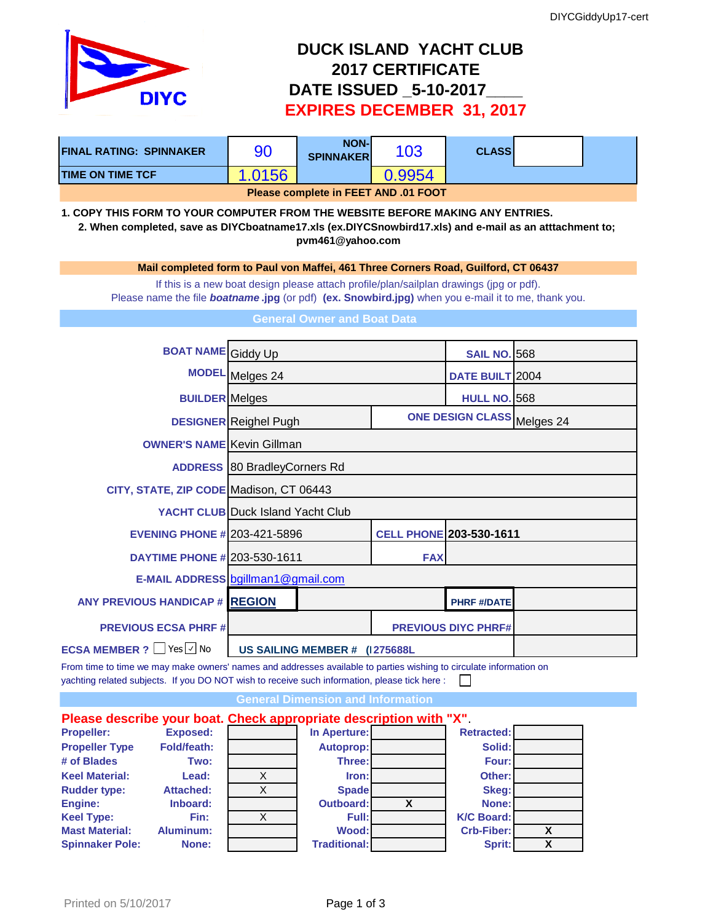

## **DUCK ISLAND YACHT CLUB 2017 CERTIFICATE DATE ISSUED \_5-10-2017\_\_\_\_ EXPIRES DECEMBER 31, 2017**

| <b>FINAL RATING: SPINNAKER</b>                                                                                                                                                                                      | 90                           | <b>NON-</b><br><b>SPINNAKER</b>          | 103                            | <b>CLASS</b>               |                 |  |  |  |
|---------------------------------------------------------------------------------------------------------------------------------------------------------------------------------------------------------------------|------------------------------|------------------------------------------|--------------------------------|----------------------------|-----------------|--|--|--|
| <b>TIME ON TIME TCF</b>                                                                                                                                                                                             | 1.0156                       |                                          | 0.9954                         |                            |                 |  |  |  |
| Please complete in FEET AND .01 FOOT                                                                                                                                                                                |                              |                                          |                                |                            |                 |  |  |  |
| 1. COPY THIS FORM TO YOUR COMPUTER FROM THE WEBSITE BEFORE MAKING ANY ENTRIES.<br>2. When completed, save as DIYCboatname17.xls (ex.DIYCSnowbird17.xls) and e-mail as an atttachment to;<br>pvm461@yahoo.com        |                              |                                          |                                |                            |                 |  |  |  |
| Mail completed form to Paul von Maffei, 461 Three Corners Road, Guilford, CT 06437                                                                                                                                  |                              |                                          |                                |                            |                 |  |  |  |
| If this is a new boat design please attach profile/plan/sailplan drawings (jpg or pdf).<br>Please name the file <b>boatname.jpg</b> (or pdf) (ex. Snowbird.jpg) when you e-mail it to me, thank you.                |                              |                                          |                                |                            |                 |  |  |  |
| <b>General Owner and Boat Data</b>                                                                                                                                                                                  |                              |                                          |                                |                            |                 |  |  |  |
| <b>BOAT NAME</b> Giddy Up                                                                                                                                                                                           |                              |                                          |                                |                            |                 |  |  |  |
|                                                                                                                                                                                                                     |                              |                                          |                                | <b>SAIL NO. 568</b>        |                 |  |  |  |
|                                                                                                                                                                                                                     | MODEL Melges 24              |                                          |                                |                            | DATE BUILT 2004 |  |  |  |
| <b>BUILDER</b> Melges                                                                                                                                                                                               |                              |                                          |                                | <b>HULL NO. 568</b>        |                 |  |  |  |
|                                                                                                                                                                                                                     | <b>DESIGNER</b> Reighel Pugh |                                          |                                | ONE DESIGN CLASS Melges 24 |                 |  |  |  |
| <b>OWNER'S NAME Kevin Gillman</b>                                                                                                                                                                                   |                              |                                          |                                |                            |                 |  |  |  |
|                                                                                                                                                                                                                     |                              | <b>ADDRESS</b> 80 Bradley Corners Rd     |                                |                            |                 |  |  |  |
| CITY, STATE, ZIP CODE Madison, CT 06443                                                                                                                                                                             |                              |                                          |                                |                            |                 |  |  |  |
|                                                                                                                                                                                                                     |                              | <b>YACHT CLUB Duck Island Yacht Club</b> |                                |                            |                 |  |  |  |
| <b>EVENING PHONE # 203-421-5896</b>                                                                                                                                                                                 |                              |                                          | <b>CELL PHONE 203-530-1611</b> |                            |                 |  |  |  |
| <b>DAYTIME PHONE # 203-530-1611</b>                                                                                                                                                                                 |                              |                                          | <b>FAX</b>                     |                            |                 |  |  |  |
|                                                                                                                                                                                                                     |                              | E-MAIL ADDRESS bgillman1@gmail.com       |                                |                            |                 |  |  |  |
| <b>ANY PREVIOUS HANDICAP # REGION</b>                                                                                                                                                                               |                              |                                          |                                | <b>PHRF #/DATE</b>         |                 |  |  |  |
| <b>PREVIOUS ECSA PHRF#</b>                                                                                                                                                                                          |                              |                                          |                                | <b>PREVIOUS DIYC PHRF#</b> |                 |  |  |  |
| <b>ECSA MEMBER ?</b> Yes √ No                                                                                                                                                                                       |                              | US SAILING MEMBER # (1275688L            |                                |                            |                 |  |  |  |
| From time to time we may make owners' names and addresses available to parties wishing to circulate information on<br>yachting related subjects. If you DO NOT wish to receive such information, please tick here : |                              |                                          |                                |                            |                 |  |  |  |
| <b>General Dimension and Information</b>                                                                                                                                                                            |                              |                                          |                                |                            |                 |  |  |  |

## **Please describe your boat. Check appropriate description with "X"**. **Propeller: Exposed: In Aperture: Retracted: Propeller Type Fold/feath: Autoprop: Autoprop: Autoprop: Solid: # of Blades Two: Three: Four: Keel Material: Lead:** X **Iron: Other: Rudder type:** Attached:  $\overline{X}$  Spade **Skeg:** Skeg: **Engine: Inboard: Outboard: X None: Keel Type: Fin:** X **Full: K/C Board: Mast Material: Aluminum: Wood: Crb-Fiber: X Spinnaker Pole: None: Traditional: Sprit: X**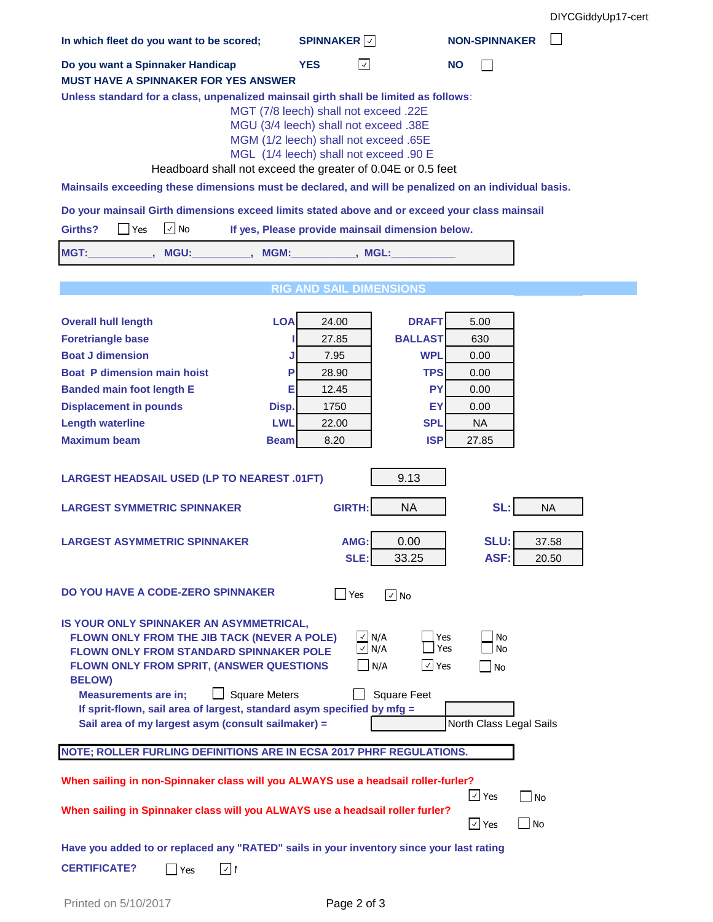DIYCGiddyUp17-cert

| In which fleet do you want to be scored;                                                                                                                                                                                                                                                                                                                                     | <b>SPINNAKER</b>                | <b>NON-SPINNAKER</b>           |  |  |  |  |  |  |
|------------------------------------------------------------------------------------------------------------------------------------------------------------------------------------------------------------------------------------------------------------------------------------------------------------------------------------------------------------------------------|---------------------------------|--------------------------------|--|--|--|--|--|--|
| Do you want a Spinnaker Handicap                                                                                                                                                                                                                                                                                                                                             | <b>YES</b><br>$\checkmark$      | <b>NO</b>                      |  |  |  |  |  |  |
| <b>MUST HAVE A SPINNAKER FOR YES ANSWER</b>                                                                                                                                                                                                                                                                                                                                  |                                 |                                |  |  |  |  |  |  |
| Unless standard for a class, unpenalized mainsail girth shall be limited as follows:<br>MGT (7/8 leech) shall not exceed .22E<br>MGU (3/4 leech) shall not exceed .38E<br>MGM (1/2 leech) shall not exceed .65E<br>MGL (1/4 leech) shall not exceed .90 E<br>Headboard shall not exceed the greater of 0.04E or 0.5 feet                                                     |                                 |                                |  |  |  |  |  |  |
| Mainsails exceeding these dimensions must be declared, and will be penalized on an individual basis.                                                                                                                                                                                                                                                                         |                                 |                                |  |  |  |  |  |  |
| Do your mainsail Girth dimensions exceed limits stated above and or exceed your class mainsail                                                                                                                                                                                                                                                                               |                                 |                                |  |  |  |  |  |  |
| $\vee$ No<br>Girths?<br>Yes<br>If yes, Please provide mainsail dimension below.                                                                                                                                                                                                                                                                                              |                                 |                                |  |  |  |  |  |  |
| MGT:<br>MGU:<br>MGM:                                                                                                                                                                                                                                                                                                                                                         | $\overline{\phantom{a}}$ , MGL: |                                |  |  |  |  |  |  |
|                                                                                                                                                                                                                                                                                                                                                                              |                                 |                                |  |  |  |  |  |  |
|                                                                                                                                                                                                                                                                                                                                                                              | <b>RIG AND SAIL DIMENSIONS</b>  |                                |  |  |  |  |  |  |
| <b>LOA</b><br><b>Overall hull length</b>                                                                                                                                                                                                                                                                                                                                     | <b>DRAFT</b><br>24.00           | 5.00                           |  |  |  |  |  |  |
| <b>Foretriangle base</b>                                                                                                                                                                                                                                                                                                                                                     | <b>BALLAST</b><br>27.85<br>ш    | 630                            |  |  |  |  |  |  |
| <b>Boat J dimension</b>                                                                                                                                                                                                                                                                                                                                                      | <b>WPL</b><br>7.95<br>J         | 0.00                           |  |  |  |  |  |  |
| <b>Boat P dimension main hoist</b>                                                                                                                                                                                                                                                                                                                                           | <b>TPS</b><br>P<br>28.90        | 0.00                           |  |  |  |  |  |  |
| <b>Banded main foot length E</b>                                                                                                                                                                                                                                                                                                                                             | <b>PY</b><br>Е<br>12.45         | 0.00                           |  |  |  |  |  |  |
| <b>Displacement in pounds</b><br>Disp.                                                                                                                                                                                                                                                                                                                                       | EY<br>1750                      | 0.00                           |  |  |  |  |  |  |
| <b>Length waterline</b><br><b>LWL</b>                                                                                                                                                                                                                                                                                                                                        | <b>SPL</b><br>22.00             | <b>NA</b>                      |  |  |  |  |  |  |
| <b>Maximum beam</b><br><b>Beam</b>                                                                                                                                                                                                                                                                                                                                           | <b>ISP</b><br>8.20              | 27.85                          |  |  |  |  |  |  |
| 9.13<br><b>LARGEST HEADSAIL USED (LP TO NEAREST .01FT)</b>                                                                                                                                                                                                                                                                                                                   |                                 |                                |  |  |  |  |  |  |
| <b>LARGEST SYMMETRIC SPINNAKER</b>                                                                                                                                                                                                                                                                                                                                           | <b>GIRTH:</b><br><b>NA</b>      | SL:<br><b>NA</b>               |  |  |  |  |  |  |
| <b>LARGEST ASYMMETRIC SPINNAKER</b>                                                                                                                                                                                                                                                                                                                                          | 0.00<br>AMG:<br>SLE:<br>33.25   | SLU:<br>37.58<br>ASF:<br>20.50 |  |  |  |  |  |  |
| DO YOU HAVE A CODE-ZERO SPINNAKER<br>Yes<br>$\sqrt{ }$ No                                                                                                                                                                                                                                                                                                                    |                                 |                                |  |  |  |  |  |  |
| IS YOUR ONLY SPINNAKER AN ASYMMETRICAL,<br>$\vee$ N/A<br>FLOWN ONLY FROM THE JIB TACK (NEVER A POLE)<br>Yes<br>No<br>$\sqrt{N/A}$<br>Yes<br>No<br><b>FLOWN ONLY FROM STANDARD SPINNAKER POLE</b><br>$\Box$ N/A<br>$\vee$ Yes<br>FLOWN ONLY FROM SPRIT, (ANSWER QUESTIONS<br>No<br><b>BELOW)</b><br><b>Square Meters</b><br><b>Square Feet</b><br><b>Measurements are in;</b> |                                 |                                |  |  |  |  |  |  |
| If sprit-flown, sail area of largest, standard asym specified by mfg =<br>Sail area of my largest asym (consult sailmaker) =<br>North Class Legal Sails                                                                                                                                                                                                                      |                                 |                                |  |  |  |  |  |  |
| NOTE; ROLLER FURLING DEFINITIONS ARE IN ECSA 2017 PHRF REGULATIONS.                                                                                                                                                                                                                                                                                                          |                                 |                                |  |  |  |  |  |  |
| When sailing in non-Spinnaker class will you ALWAYS use a headsail roller-furler?<br>$\sqrt{ }$ Yes<br><b>No</b>                                                                                                                                                                                                                                                             |                                 |                                |  |  |  |  |  |  |
| When sailing in Spinnaker class will you ALWAYS use a headsail roller furler?                                                                                                                                                                                                                                                                                                |                                 | $\sqrt{ }$ Yes<br>  No         |  |  |  |  |  |  |
|                                                                                                                                                                                                                                                                                                                                                                              |                                 |                                |  |  |  |  |  |  |
| Have you added to or replaced any "RATED" sails in your inventory since your last rating                                                                                                                                                                                                                                                                                     |                                 |                                |  |  |  |  |  |  |
| <b>CERTIFICATE?</b><br>√∣r<br>$\Box$ Yes                                                                                                                                                                                                                                                                                                                                     |                                 |                                |  |  |  |  |  |  |